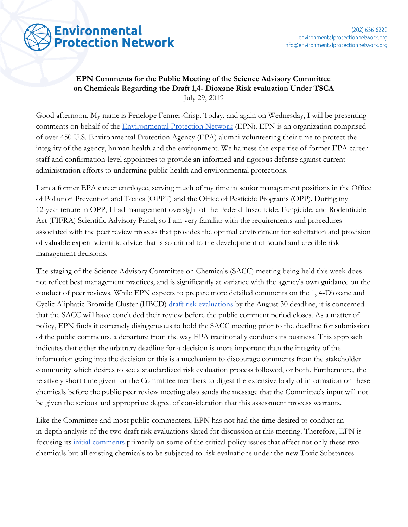

## **EPN Comments for the Public Meeting of the Science Advisory Committee on Chemicals Regarding the Draft 1,4- Dioxane Risk evaluation Under TSCA** July 29, 2019

Good afternoon. My name is Penelope Fenner-Crisp. Today, and again on Wednesday, I will be presenting comments on behalf of the [Environmental Protection Network](https://www.environmentalprotectionnetwork.org/) (EPN). EPN is an organization comprised of over 450 U.S. Environmental Protection Agency (EPA) alumni volunteering their time to protect the integrity of the agency, human health and the environment. We harness the expertise of former EPA career staff and confirmation-level appointees to provide an informed and rigorous defense against current administration efforts to undermine public health and environmental protections.

I am a former EPA career employee, serving much of my time in senior management positions in the Office of Pollution Prevention and Toxics (OPPT) and the Office of Pesticide Programs (OPP). During my 12-year tenure in OPP, I had management oversight of the Federal Insecticide, Fungicide, and Rodenticide Act (FIFRA) Scientific Advisory Panel, so I am very familiar with the requirements and procedures associated with the peer review process that provides the optimal environment for solicitation and provision of valuable expert scientific advice that is so critical to the development of sound and credible risk management decisions.

The staging of the Science Advisory Committee on Chemicals (SACC) meeting being held this week does not reflect best management practices, and is significantly at variance with the agency's own guidance on the conduct of peer reviews. While EPN expects to prepare more detailed comments on the 1, 4-Dioxane and Cyclic Aliphatic Bromide Cluster (HBCD) [draft risk evaluations](https://www.federalregister.gov/documents/2019/07/01/2019-14021/draft-toxic-substances-control-act-tsca-risk-evaluations-and-tsca-science-advisory-committee-on) by the August 30 deadline, it is concerned that the SACC will have concluded their review before the public comment period closes. As a matter of policy, EPN finds it extremely disingenuous to hold the SACC meeting prior to the deadline for submission of the public comments, a departure from the way EPA traditionally conducts its business. This approach indicates that either the arbitrary deadline for a decision is more important than the integrity of the information going into the decision or this is a mechanism to discourage comments from the stakeholder community which desires to see a standardized risk evaluation process followed, or both. Furthermore, the relatively short time given for the Committee members to digest the extensive body of information on these chemicals before the public peer review meeting also sends the message that the Committee's input will not be given the serious and appropriate degree of consideration that this assessment process warrants.

Like the Committee and most public commenters, EPN has not had the time desired to conduct an in-depth analysis of the two draft risk evaluations slated for discussion at this meeting. Therefore, EPN is focusing its [initial comments](https://www.environmentalprotectionnetwork.org/hbcd-and-dioxane-tsca-risk-evals/) primarily on some of the critical policy issues that affect not only these two chemicals but all existing chemicals to be subjected to risk evaluations under the new Toxic Substances